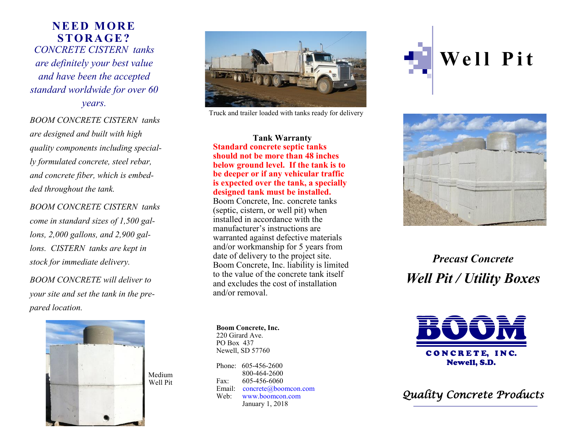## **N E E D M OR E S TOR A GE ?**  *CONCRETE CISTERN tanks are definitely your best value and have been the accepted standard worldwide for over 60 years.*

*BOOM CONCRETE CISTERN tanks are designed and built with high quality components including specially formulated concrete, steel rebar, and concrete fiber, which is embedded throughout the tank.*

*BOOM CONCRETE CISTERN tanks come in standard sizes of 1,500 gallons, 2,000 gallons, and 2,900 gallons. CISTERN tanks are kept in stock for immediate delivery.*

*BOOM CONCRETE will deliver to your site and set the tank in the prepared location.* 





Truck and trailer loaded with tanks ready for delivery

**Tank Warranty Standard concrete septic tanks should not be more than 48 inches below ground level. If the tank is to be deeper or if any vehicular traffic is expected over the tank, a specially designed tank must be installed.**

Boom Concrete, Inc. concrete tanks (septic, cistern, or well pit) when installed in accordance with the manufacturer's instructions are warranted against defective materials and/or workmanship for 5 years from date of delivery to the project site. Boom Concrete, Inc. liability is limited to the value of the concrete tank itself and excludes the cost of installation and/or removal.

**Boom Concrete, Inc.** 220 Girard Ave. PO Box 437 Newell, SD 57760

Phone: 605-456-2600 800-464-2600 Fax: 605-456-6060 Email: concrete@boomcon.com Web: www.boomcon.com January 1, 2018





*Precast Concrete Well Pit / Utility Boxes*



*Quality Concrete Products*